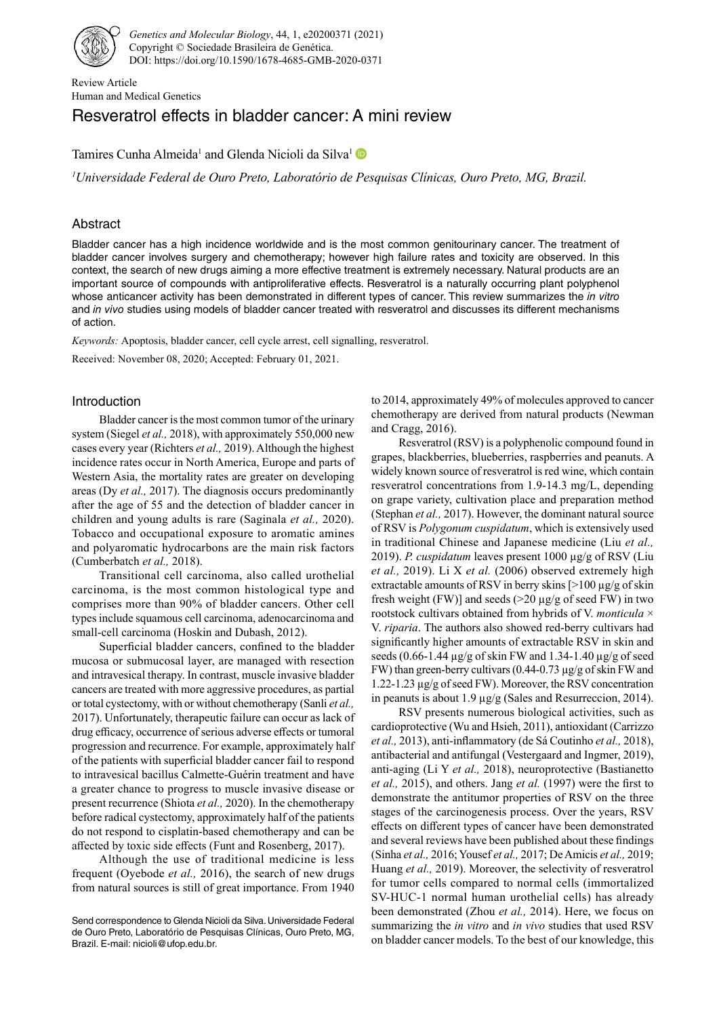

*Genetics and Molecular Biology*, 44, 1, e20200371 (2021) Copyright © Sociedade Brasileira de Genética. DOI: https://doi.org/10.1590/1678-4685-GMB-2020-0371

Review Article Human and Medical Genetics

# Resveratrol effects in bladder cancer: A mini review

Tamires Cunha Almeida<sup>1</sup> and Glenda Nicioli da Silva<sup>1</sup>

*1 Universidade Federal de Ouro Preto, Laboratório de Pesquisas Clínicas, Ouro Preto, MG, Brazil.*

### Abstract

Bladder cancer has a high incidence worldwide and is the most common genitourinary cancer. The treatment of bladder cancer involves surgery and chemotherapy; however high failure rates and toxicity are observed. In this context, the search of new drugs aiming a more effective treatment is extremely necessary. Natural products are an important source of compounds with antiproliferative effects. Resveratrol is a naturally occurring plant polyphenol whose anticancer activity has been demonstrated in different types of cancer. This review summarizes the *in vitro* and *in vivo* studies using models of bladder cancer treated with resveratrol and discusses its different mechanisms of action.

*Keywords:* Apoptosis, bladder cancer, cell cycle arrest, cell signalling, resveratrol.

Received: November 08, 2020; Accepted: February 01, 2021.

### Introduction

Bladder cancer is the most common tumor of the urinary system (Siegel *et al.,* 2018), with approximately 550,000 new cases every year (Richters *et al.,* 2019). Although the highest incidence rates occur in North America, Europe and parts of Western Asia, the mortality rates are greater on developing areas (Dy *et al.,* 2017). The diagnosis occurs predominantly after the age of 55 and the detection of bladder cancer in children and young adults is rare (Saginala *et al.,* 2020). Tobacco and occupational exposure to aromatic amines and polyaromatic hydrocarbons are the main risk factors (Cumberbatch *et al.,* 2018).

Transitional cell carcinoma, also called urothelial carcinoma, is the most common histological type and comprises more than 90% of bladder cancers. Other cell types include squamous cell carcinoma, adenocarcinoma and small-cell carcinoma (Hoskin and Dubash, 2012).

Superficial bladder cancers, confined to the bladder mucosa or submucosal layer, are managed with resection and intravesical therapy. In contrast, muscle invasive bladder cancers are treated with more aggressive procedures, as partial or total cystectomy, with or without chemotherapy (Sanli *et al.,* 2017). Unfortunately, therapeutic failure can occur as lack of drug efficacy, occurrence of serious adverse effects or tumoral progression and recurrence. For example, approximately half of the patients with superficial bladder cancer fail to respond to intravesical bacillus Calmette-Guérin treatment and have a greater chance to progress to muscle invasive disease or present recurrence (Shiota *et al.,* 2020). In the chemotherapy before radical cystectomy, approximately half of the patients do not respond to cisplatin-based chemotherapy and can be affected by toxic side effects (Funt and Rosenberg, 2017).

Although the use of traditional medicine is less frequent (Oyebode *et al.,* 2016), the search of new drugs from natural sources is still of great importance. From 1940 to 2014, approximately 49% of molecules approved to cancer chemotherapy are derived from natural products (Newman and Cragg, 2016).

Resveratrol (RSV) is a polyphenolic compound found in grapes, blackberries, blueberries, raspberries and peanuts. A widely known source of resveratrol is red wine, which contain resveratrol concentrations from 1.9-14.3 mg/L, depending on grape variety, cultivation place and preparation method (Stephan *et al.,* 2017). However, the dominant natural source of RSV is *Polygonum cuspidatum*, which is extensively used in traditional Chinese and Japanese medicine (Liu *et al.,* 2019). *P. cuspidatum* leaves present 1000 µg/g of RSV (Liu *et al.,* 2019). Li X *et al.* (2006) observed extremely high extractable amounts of RSV in berry skins  $[>100 \mu g/g$  of skin fresh weight (FW)] and seeds  $(20 \mu g/g \text{ of seed FW})$  in two rootstock cultivars obtained from hybrids of V. *monticula* × V. *riparia*. The authors also showed red-berry cultivars had significantly higher amounts of extractable RSV in skin and seeds (0.66-1.44  $\mu$ g/g of skin FW and 1.34-1.40  $\mu$ g/g of seed FW) than green-berry cultivars (0.44-0.73 µg/g of skin FW and 1.22-1.23 µg/g of seed FW). Moreover, the RSV concentration in peanuts is about 1.9 µg/g (Sales and Resurreccion, 2014).

RSV presents numerous biological activities, such as cardioprotective (Wu and Hsieh, 2011), antioxidant (Carrizzo *et al.,* 2013), anti-inflammatory (de Sá Coutinho *et al.,* 2018), antibacterial and antifungal (Vestergaard and Ingmer, 2019), anti-aging (Li Y *et al.,* 2018), neuroprotective (Bastianetto *et al.,* 2015), and others. Jang *et al.* (1997) were the first to demonstrate the antitumor properties of RSV on the three stages of the carcinogenesis process. Over the years, RSV effects on different types of cancer have been demonstrated and several reviews have been published about these findings (Sinha *et al.,* 2016; Yousef *et al.,* 2017; De Amicis *et al.,* 2019; Huang *et al.,* 2019). Moreover, the selectivity of resveratrol for tumor cells compared to normal cells (immortalized SV-HUC-1 normal human urothelial cells) has already been demonstrated (Zhou *et al.,* 2014). Here, we focus on summarizing the *in vitro* and *in vivo* studies that used RSV on bladder cancer models. To the best of our knowledge, this

Send correspondence to Glenda Nicioli da Silva. Universidade Federal de Ouro Preto, Laboratório de Pesquisas Clínicas, Ouro Preto, MG, Brazil. E-mail: nicioli@ufop.edu.br.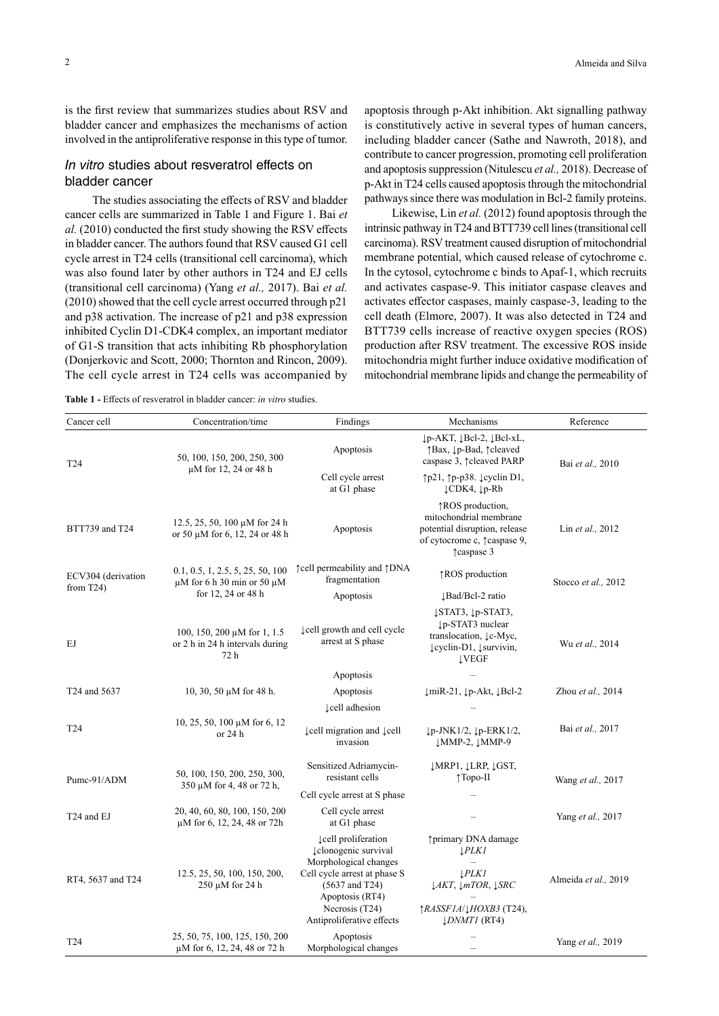is the first review that summarizes studies about RSV and bladder cancer and emphasizes the mechanisms of action involved in the antiproliferative response in this type of tumor.

## *In vitro* studies about resveratrol effects on bladder cancer

The studies associating the effects of RSV and bladder cancer cells are summarized in [Table 1](#page-1-0) and [Figure 1](#page-2-0). Bai *et al.* (2010) conducted the first study showing the RSV effects in bladder cancer. The authors found that RSV caused G1 cell cycle arrest in T24 cells (transitional cell carcinoma), which was also found later by other authors in T24 and EJ cells (transitional cell carcinoma) (Yang *et al.,* 2017). Bai *et al.* (2010) showed that the cell cycle arrest occurred through p21 and p38 activation. The increase of p21 and p38 expression inhibited Cyclin D1-CDK4 complex, an important mediator of G1-S transition that acts inhibiting Rb phosphorylation (Donjerkovic and Scott, 2000; Thornton and Rincon, 2009). The cell cycle arrest in T24 cells was accompanied by apoptosis through p-Akt inhibition. Akt signalling pathway is constitutively active in several types of human cancers, including bladder cancer (Sathe and Nawroth, 2018), and contribute to cancer progression, promoting cell proliferation and apoptosis suppression (Nitulescu *et al.,* 2018). Decrease of p-Akt in T24 cells caused apoptosis through the mitochondrial pathways since there was modulation in Bcl-2 family proteins.

Likewise, Lin *et al.* (2012) found apoptosis through the intrinsic pathway in T24 and BTT739 cell lines (transitional cell carcinoma). RSV treatment caused disruption of mitochondrial membrane potential, which caused release of cytochrome c. In the cytosol, cytochrome c binds to Apaf-1, which recruits and activates caspase-9. This initiator caspase cleaves and activates effector caspases, mainly caspase-3, leading to the cell death (Elmore, 2007). It was also detected in T24 and BTT739 cells increase of reactive oxygen species (ROS) production after RSV treatment. The excessive ROS inside mitochondria might further induce oxidative modification of mitochondrial membrane lipids and change the permeability of

<span id="page-1-0"></span>**Table 1 -** Effects of resveratrol in bladder cancer: *in vitro* studies.

| Cancer cell        | Concentration/time                                                          | Findings                                                                                                                                                                                            | Mechanisms                                                                                                                                                       | Reference            |
|--------------------|-----------------------------------------------------------------------------|-----------------------------------------------------------------------------------------------------------------------------------------------------------------------------------------------------|------------------------------------------------------------------------------------------------------------------------------------------------------------------|----------------------|
| T <sub>24</sub>    | 50, 100, 150, 200, 250, 300<br>µM for 12, 24 or 48 h                        | Apoptosis                                                                                                                                                                                           | $\downarrow$ p-AKT, $\downarrow$ Bcl-2, $\downarrow$ Bcl-xL,<br>↑Bax, ↓p-Bad, ↑cleaved<br>caspase 3, 1cleaved PARP                                               | Bai et al., 2010     |
|                    |                                                                             | Cell cycle arrest<br>at G1 phase                                                                                                                                                                    | ↑p21, ↑p-p38. ↓cyclin D1,<br>↓CDK4, ↓p-Rb                                                                                                                        |                      |
| BTT739 and T24     | 12.5, 25, 50, 100 $\mu$ M for 24 h<br>or 50 µM for 6, 12, 24 or 48 h        | Apoptosis                                                                                                                                                                                           | ↑ROS production,<br>mitochondrial membrane<br>potential disruption, release<br>of cytocrome c, $\uparrow$ caspase 9,<br>$\uparrow$ caspase 3                     | Lin et al., 2012     |
| ECV304 (derivation | 0.1, 0.5, 1, 2.5, 5, 25, 50, 100<br>$\mu$ M for 6 h 30 min or 50 $\mu$ M    | ↑cell permeability and ↑DNA<br>fragmentation                                                                                                                                                        | ↑ROS production                                                                                                                                                  | Stocco et al., 2012  |
| from $T24$ )       | for 12, 24 or 48 h                                                          | Apoptosis                                                                                                                                                                                           | LBad/Bcl-2 ratio                                                                                                                                                 |                      |
| EJ                 | 100, 150, 200 $\mu$ M for 1, 1.5<br>or 2 h in 24 h intervals during<br>72 h | Leell growth and cell cycle<br>arrest at S phase                                                                                                                                                    | ↓STAT3, ↓p-STAT3,<br>Lp-STAT3 nuclear<br>translocation, Lc-Myc,<br>↓cyclin-D1, ↓survivin,<br><b>JVEGF</b>                                                        | Wu et al., 2014      |
|                    |                                                                             | Apoptosis                                                                                                                                                                                           |                                                                                                                                                                  |                      |
| T24 and 5637       | 10, 30, 50 μM for 48 h.                                                     | Apoptosis                                                                                                                                                                                           | $\downarrow$ miR-21, $\downarrow$ p-Akt, $\downarrow$ Bcl-2                                                                                                      | Zhou et al., 2014    |
|                    |                                                                             | Leell adhesion                                                                                                                                                                                      |                                                                                                                                                                  |                      |
| T <sub>24</sub>    | 10, 25, 50, 100 μM for 6, 12<br>or 24 h                                     | ↓cell migration and ↓cell<br>invasion                                                                                                                                                               | $\downarrow$ p-JNK1/2, $\downarrow$ p-ERK1/2,<br>$\downarrow$ MMP-2, $\downarrow$ MMP-9                                                                          | Bai et al., 2017     |
| Pumc-91/ADM        | 50, 100, 150, 200, 250, 300,<br>350 µM for 4, 48 or 72 h,                   | Sensitized Adriamycin-<br>resistant cells                                                                                                                                                           | JMRP1, JLRP, JGST,<br>$\uparrow$ Topo-II                                                                                                                         | Wang et al., 2017    |
|                    |                                                                             | Cell cycle arrest at S phase                                                                                                                                                                        |                                                                                                                                                                  |                      |
| T24 and EJ         | 20, 40, 60, 80, 100, 150, 200<br>μM for 6, 12, 24, 48 or 72h                | Cell cycle arrest<br>at G1 phase                                                                                                                                                                    |                                                                                                                                                                  | Yang et al., 2017    |
| RT4, 5637 and T24  | 12.5, 25, 50, 100, 150, 200,<br>$250 \mu M$ for 24 h                        | Leell proliferation<br>Lelonogenic survival<br>Morphological changes<br>Cell cycle arrest at phase S<br>$(5637 \text{ and } T24)$<br>Apoptosis (RT4)<br>Necrosis (T24)<br>Antiproliferative effects | ↑primary DNA damage<br>LPLKI<br>$\equiv$<br>LPLKI<br>$\downarrow$ AKT, $\downarrow$ mTOR, $\downarrow$ SRC<br>↑RASSF1A/↓HOXB3 (T24),<br>$\downarrow$ DNMTI (RT4) | Almeida et al., 2019 |
| T <sub>24</sub>    | 25, 50, 75, 100, 125, 150, 200<br>µM for 6, 12, 24, 48 or 72 h              | Apoptosis<br>Morphological changes                                                                                                                                                                  | $\overline{\phantom{0}}$                                                                                                                                         | Yang et al., 2019    |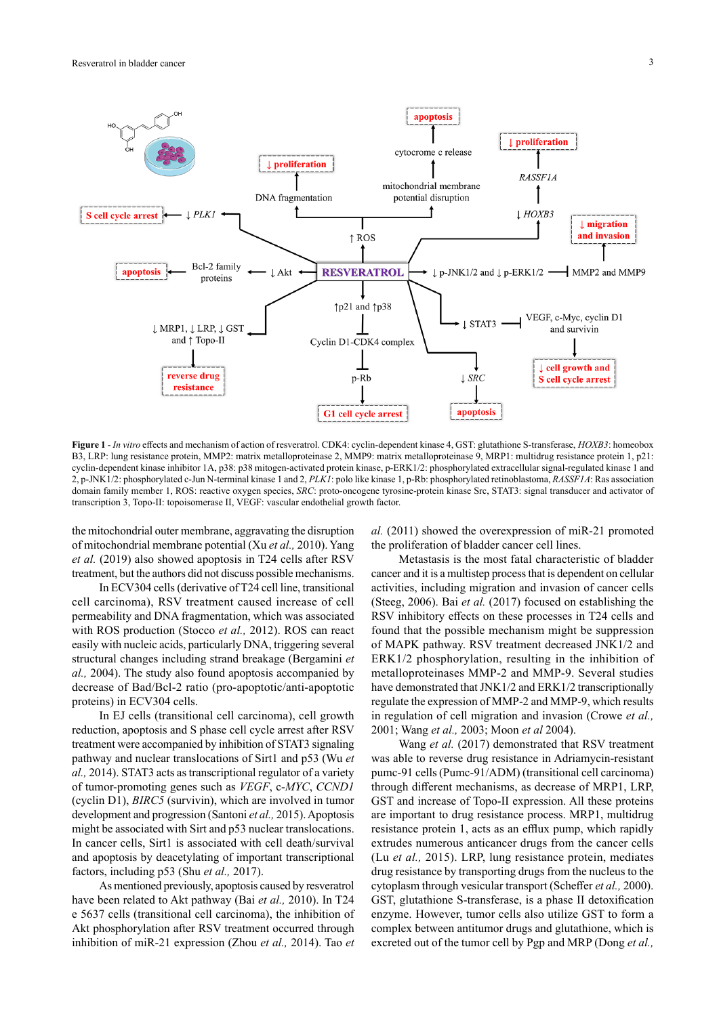

<span id="page-2-0"></span>**Figure 1** - *In vitro* effects and mechanism of action of resveratrol. CDK4: cyclin-dependent kinase 4, GST: glutathione S‑transferase, *HOXB3*: homeobox B3, LRP: lung resistance protein, MMP2: matrix metalloproteinase 2, MMP9: matrix metalloproteinase 9, MRP1: multidrug resistance protein 1, p21: cyclin-dependent kinase inhibitor 1A, p38: p38 mitogen-activated protein kinase, p-ERK1/2: phosphorylated extracellular signal-regulated kinase 1 and 2, p-JNK1/2: phosphorylated c-Jun N-terminal kinase 1 and 2, *PLK1*: polo like kinase 1, p-Rb: phosphorylated retinoblastoma, *RASSF1A*: Ras association domain family member 1, ROS: reactive oxygen species, *SRC*: proto-oncogene tyrosine-protein kinase Src, STAT3: signal transducer and activator of transcription 3, Topo-II: topoisomerase II, VEGF: vascular endothelial growth factor.

the mitochondrial outer membrane, aggravating the disruption of mitochondrial membrane potential (Xu *et al.,* 2010). Yang *et al.* (2019) also showed apoptosis in T24 cells after RSV treatment, but the authors did not discuss possible mechanisms.

In ECV304 cells (derivative of T24 cell line, transitional cell carcinoma), RSV treatment caused increase of cell permeability and DNA fragmentation, which was associated with ROS production (Stocco *et al.,* 2012). ROS can react easily with nucleic acids, particularly DNA, triggering several structural changes including strand breakage (Bergamini *et al.,* 2004). The study also found apoptosis accompanied by decrease of Bad/Bcl-2 ratio (pro-apoptotic/anti-apoptotic proteins) in ECV304 cells.

In EJ cells (transitional cell carcinoma), cell growth reduction, apoptosis and S phase cell cycle arrest after RSV treatment were accompanied by inhibition of STAT3 signaling pathway and nuclear translocations of Sirt1 and p53 (Wu *et al.,* 2014). STAT3 acts as transcriptional regulator of a variety of tumor-promoting genes such as *VEGF*, c-*MYC*, *CCND1* (cyclin D1), *BIRC5* (survivin), which are involved in tumor development and progression (Santoni *et al.,* 2015). Apoptosis might be associated with Sirt and p53 nuclear translocations. In cancer cells, Sirt1 is associated with cell death/survival and apoptosis by deacetylating of important transcriptional factors, including p53 (Shu *et al.,* 2017).

As mentioned previously, apoptosis caused by resveratrol have been related to Akt pathway (Bai *et al.,* 2010). In T24 e 5637 cells (transitional cell carcinoma), the inhibition of Akt phosphorylation after RSV treatment occurred through inhibition of miR-21 expression (Zhou *et al.,* 2014). Tao *et*  *al.* (2011) showed the overexpression of miR-21 promoted the proliferation of bladder cancer cell lines.

Metastasis is the most fatal characteristic of bladder cancer and it is a multistep process that is dependent on cellular activities, including migration and invasion of cancer cells (Steeg, 2006). Bai *et al.* (2017) focused on establishing the RSV inhibitory effects on these processes in T24 cells and found that the possible mechanism might be suppression of MAPK pathway. RSV treatment decreased JNK1/2 and ERK1/2 phosphorylation, resulting in the inhibition of metalloproteinases MMP‑2 and MMP‑9. Several studies have demonstrated that JNK1/2 and ERK1/2 transcriptionally regulate the expression of MMP‑2 and MMP‑9, which results in regulation of cell migration and invasion (Crowe *et al.,* 2001; Wang *et al.,* 2003; Moon *et al* 2004).

Wang *et al.* (2017) demonstrated that RSV treatment was able to reverse drug resistance in Adriamycin-resistant pumc‑91 cells (Pumc‑91/ADM) (transitional cell carcinoma) through different mechanisms, as decrease of MRP1, LRP, GST and increase of Topo-II expression. All these proteins are important to drug resistance process. MRP1, multidrug resistance protein 1, acts as an efflux pump, which rapidly extrudes numerous anticancer drugs from the cancer cells (Lu *et al.,* 2015). LRP, lung resistance protein, mediates drug resistance by transporting drugs from the nucleus to the cytoplasm through vesicular transport (Scheffer *et al.,* 2000). GST, glutathione S-transferase, is a phase II detoxification enzyme. However, tumor cells also utilize GST to form a complex between antitumor drugs and glutathione, which is excreted out of the tumor cell by Pgp and MRP (Dong *et al.,*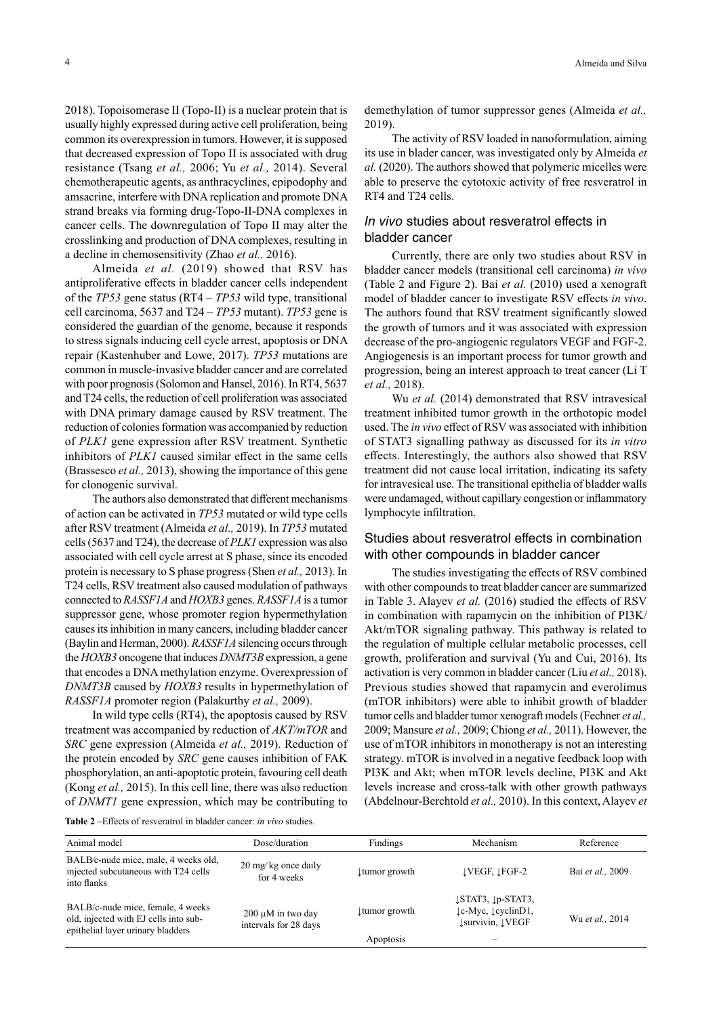2018). Topoisomerase II (Topo-II) is a nuclear protein that is usually highly expressed during active cell proliferation, being common its overexpression in tumors. However, it is supposed that decreased expression of Topo II is associated with drug resistance (Tsang *et al.,* 2006; Yu *et al.,* 2014). Several chemotherapeutic agents, as anthracyclines, epipodophy and amsacrine, interfere with DNA replication and promote DNA strand breaks via forming drug-Topo-II-DNA complexes in cancer cells. The downregulation of Topo II may alter the crosslinking and production of DNA complexes, resulting in a decline in chemosensitivity (Zhao *et al.,* 2016).

Almeida *et al.* (2019) showed that RSV has antiproliferative effects in bladder cancer cells independent of the *TP53* gene status (RT4 – *TP53* wild type, transitional cell carcinoma, 5637 and T24 – *TP53* mutant). *TP53* gene is considered the guardian of the genome, because it responds to stress signals inducing cell cycle arrest, apoptosis or DNA repair (Kastenhuber and Lowe, 2017). *TP53* mutations are common in muscle-invasive bladder cancer and are correlated with poor prognosis (Solomon and Hansel, 2016). In RT4, 5637 and T24 cells, the reduction of cell proliferation was associated with DNA primary damage caused by RSV treatment. The reduction of colonies formation was accompanied by reduction of *PLK1* gene expression after RSV treatment. Synthetic inhibitors of *PLK1* caused similar effect in the same cells (Brassesco *et al.,* 2013), showing the importance of this gene for clonogenic survival.

The authors also demonstrated that different mechanisms of action can be activated in *TP53* mutated or wild type cells after RSV treatment (Almeida *et al.,* 2019). In *TP53* mutated cells (5637 and T24), the decrease of *PLK1* expression was also associated with cell cycle arrest at S phase, since its encoded protein is necessary to S phase progress (Shen *et al.,* 2013). In T24 cells, RSV treatment also caused modulation of pathways connected to *RASSF1A* and *HOXB3* genes. *RASSF1A* is a tumor suppressor gene, whose promoter region hypermethylation causes its inhibition in many cancers, including bladder cancer (Baylin and Herman, 2000). *RASSF1A* silencing occurs through the *HOXB3* oncogene that induces *DNMT3B* expression, a gene that encodes a DNA methylation enzyme. Overexpression of *DNMT3B* caused by *HOXB3* results in hypermethylation of *RASSF1A* promoter region (Palakurthy *et al.,* 2009).

In wild type cells (RT4), the apoptosis caused by RSV treatment was accompanied by reduction of *AKT/mTOR* and *SRC* gene expression (Almeida *et al.,* 2019). Reduction of the protein encoded by *SRC* gene causes inhibition of FAK phosphorylation, an anti-apoptotic protein, favouring cell death (Kong *et al.,* 2015). In this cell line, there was also reduction of *DNMT1* gene expression, which may be contributing to demethylation of tumor suppressor genes (Almeida *et al.,* 2019).

The activity of RSV loaded in nanoformulation, aiming its use in blader cancer, was investigated only by Almeida *et al.* (2020). The authors showed that polymeric micelles were able to preserve the cytotoxic activity of free resveratrol in RT4 and T24 cells.

# *In vivo* studies about resveratrol effects in bladder cancer

Currently, there are only two studies about RSV in bladder cancer models (transitional cell carcinoma) *in vivo* [\(Table 2](#page-3-0) and [Figure 2\)](#page-4-0). Bai *et al.* (2010) used a xenograft model of bladder cancer to investigate RSV effects *in vivo*. The authors found that RSV treatment significantly slowed the growth of tumors and it was associated with expression decrease of the pro-angiogenic regulators VEGF and FGF-2. Angiogenesis is an important process for tumor growth and progression, being an interest approach to treat cancer (Li T *et al.,* 2018).

Wu *et al.* (2014) demonstrated that RSV intravesical treatment inhibited tumor growth in the orthotopic model used. The *in vivo* effect of RSV was associated with inhibition of STAT3 signalling pathway as discussed for its *in vitro* effects. Interestingly, the authors also showed that RSV treatment did not cause local irritation, indicating its safety for intravesical use. The transitional epithelia of bladder walls were undamaged, without capillary congestion or inflammatory lymphocyte infiltration.

# Studies about resveratrol effects in combination with other compounds in bladder cancer

The studies investigating the effects of RSV combined with other compounds to treat bladder cancer are summarized in [Table 3.](#page-4-1) Alayev *et al.* (2016) studied the effects of RSV in combination with rapamycin on the inhibition of PI3K/ Akt/mTOR signaling pathway. This pathway is related to the regulation of multiple cellular metabolic processes, cell growth, proliferation and survival (Yu and Cui, 2016). Its activation is very common in bladder cancer (Liu *et al.,* 2018). Previous studies showed that rapamycin and everolimus (mTOR inhibitors) were able to inhibit growth of bladder tumor cells and bladder tumor xenograft models (Fechner *et al.,* 2009; Mansure *et al.,* 2009; Chiong *et al.,* 2011). However, the use of mTOR inhibitors in monotherapy is not an interesting strategy. mTOR is involved in a negative feedback loop with PI3K and Akt; when mTOR levels decline, PI3K and Akt levels increase and cross-talk with other growth pathways (Abdelnour-Berchtold *et al.,* 2010). In this context, Alayev *et* 

<span id="page-3-0"></span>**Table 2 –**Effects of resveratrol in bladder cancer: *in vivo* studies.

| Animal model                                                                                                    | Dose/duration                                   | Findings     | Mechanism                                                                                                    | Reference        |
|-----------------------------------------------------------------------------------------------------------------|-------------------------------------------------|--------------|--------------------------------------------------------------------------------------------------------------|------------------|
| BALB/c-nude mice, male, 4 weeks old,<br>injected subcutaneous with T24 cells<br>into flanks                     | $20 \text{ mg/kg}$ once daily<br>for 4 weeks    | tumor growth | <b>IVEGF, IFGF-2</b>                                                                                         | Bai et al., 2009 |
| BALB/c-nude mice, female, 4 weeks<br>old, injected with EJ cells into sub-<br>epithelial layer urinary bladders | $200 \mu M$ in two day<br>intervals for 28 days | tumor growth | $\downarrow$ STAT3, $\downarrow$ p-STAT3,<br>$\mathcal{L}$ -Myc, $\mathcal{L}$ cyclinD1,<br>Lsurvivin, LVEGF | Wu et al., 2014  |
|                                                                                                                 |                                                 | Apoptosis    |                                                                                                              |                  |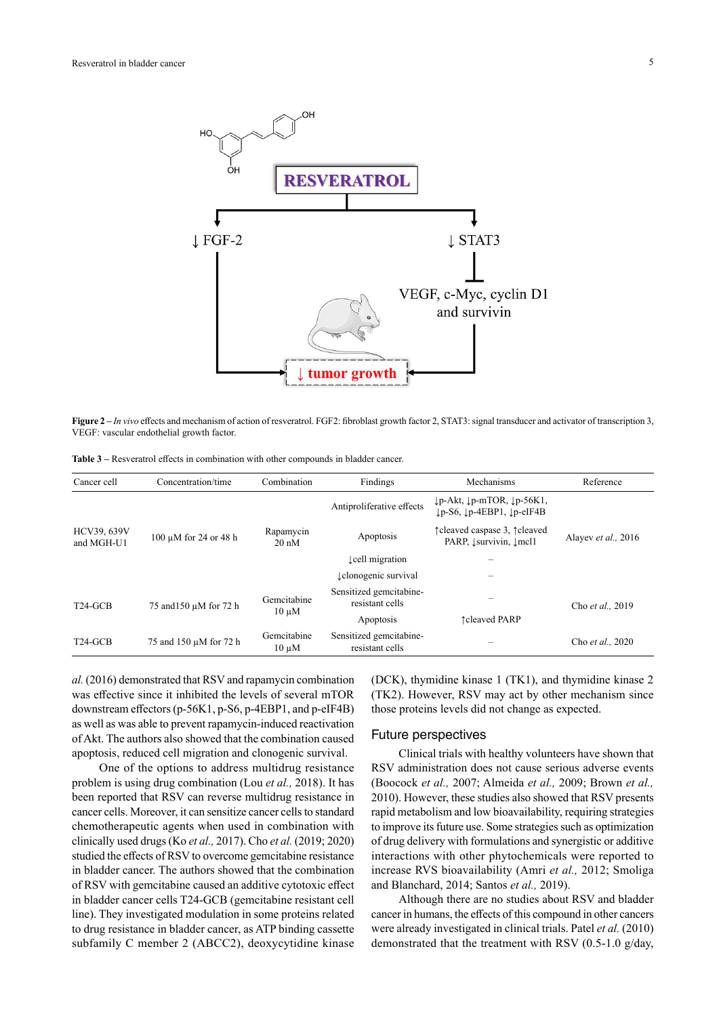

<span id="page-4-0"></span>**Figure 2** – *In vivo* effects and mechanism of action of resveratrol. FGF2: fibroblast growth factor 2, STAT3: signal transducer and activator of transcription 3, VEGF: vascular endothelial growth factor.

<span id="page-4-1"></span>

| <b>Table 3</b> – Resveratrol effects in combination with other compounds in bladder cancer. |  |
|---------------------------------------------------------------------------------------------|--|
|---------------------------------------------------------------------------------------------|--|

| Cancer cell               | Concentration/time         | Combination               | Findings                                   | Mechanisms                                                                                                                     | Reference           |
|---------------------------|----------------------------|---------------------------|--------------------------------------------|--------------------------------------------------------------------------------------------------------------------------------|---------------------|
| HCV39, 639V<br>and MGH-U1 | $100 \mu M$ for 24 or 48 h | Rapamycin<br>20 nM        | Antiproliferative effects                  | $\downarrow$ p-Akt, $\downarrow$ p-mTOR, $\downarrow$ p-56K1,<br>$\downarrow$ p-S6, $\downarrow$ p-4EBP1, $\downarrow$ p-eIF4B |                     |
|                           |                            |                           | Apoptosis                                  | ↑ cleaved caspase 3, ↑ cleaved<br>PARP, Isurvivin, Imell                                                                       | Alayev et al., 2016 |
|                           |                            |                           | Leell migration                            |                                                                                                                                |                     |
|                           |                            |                           | Lelonogenic survival                       |                                                                                                                                |                     |
| $T24-GCB$                 | 75 and 150 µM for 72 h     | Gemcitabine<br>$10 \mu M$ | Sensitized gemcitabine-<br>resistant cells |                                                                                                                                | Cho et al., 2019    |
|                           |                            |                           | Apoptosis                                  | ↑cleaved PARP                                                                                                                  |                     |
| $T24-GCB$                 | 75 and 150 µM for 72 h     | Gemcitabine<br>$10 \mu M$ | Sensitized gemcitabine-<br>resistant cells |                                                                                                                                | Cho et al., 2020    |

*al.* (2016) demonstrated that RSV and rapamycin combination was effective since it inhibited the levels of several mTOR downstream effectors (p-56K1, p-S6, p-4EBP1, and p-eIF4B) as well as was able to prevent rapamycin-induced reactivation of Akt. The authors also showed that the combination caused apoptosis, reduced cell migration and clonogenic survival.

One of the options to address multidrug resistance problem is using drug combination (Lou *et al.,* 2018). It has been reported that RSV can reverse multidrug resistance in cancer cells. Moreover, it can sensitize cancer cells to standard chemotherapeutic agents when used in combination with clinically used drugs (Ko *et al.,* 2017). Cho *et al.* (2019; 2020) studied the effects of RSV to overcome gemcitabine resistance in bladder cancer. The authors showed that the combination of RSV with gemcitabine caused an additive cytotoxic effect in bladder cancer cells T24-GCB (gemcitabine resistant cell line). They investigated modulation in some proteins related to drug resistance in bladder cancer, as ATP binding cassette subfamily C member 2 (ABCC2), deoxycytidine kinase (DCK), thymidine kinase 1 (TK1), and thymidine kinase 2 (TK2). However, RSV may act by other mechanism since those proteins levels did not change as expected.

### Future perspectives

Clinical trials with healthy volunteers have shown that RSV administration does not cause serious adverse events (Boocock *et al.,* 2007; Almeida *et al.,* 2009; Brown *et al.,* 2010). However, these studies also showed that RSV presents rapid metabolism and low bioavailability, requiring strategies to improve its future use. Some strategies such as optimization of drug delivery with formulations and synergistic or additive interactions with other phytochemicals were reported to increase RVS bioavailability (Amri *et al.,* 2012; Smoliga and Blanchard, 2014; Santos *et al.,* 2019).

Although there are no studies about RSV and bladder cancer in humans, the effects of this compound in other cancers were already investigated in clinical trials. Patel *et al.* (2010) demonstrated that the treatment with RSV (0.5-1.0 g/day,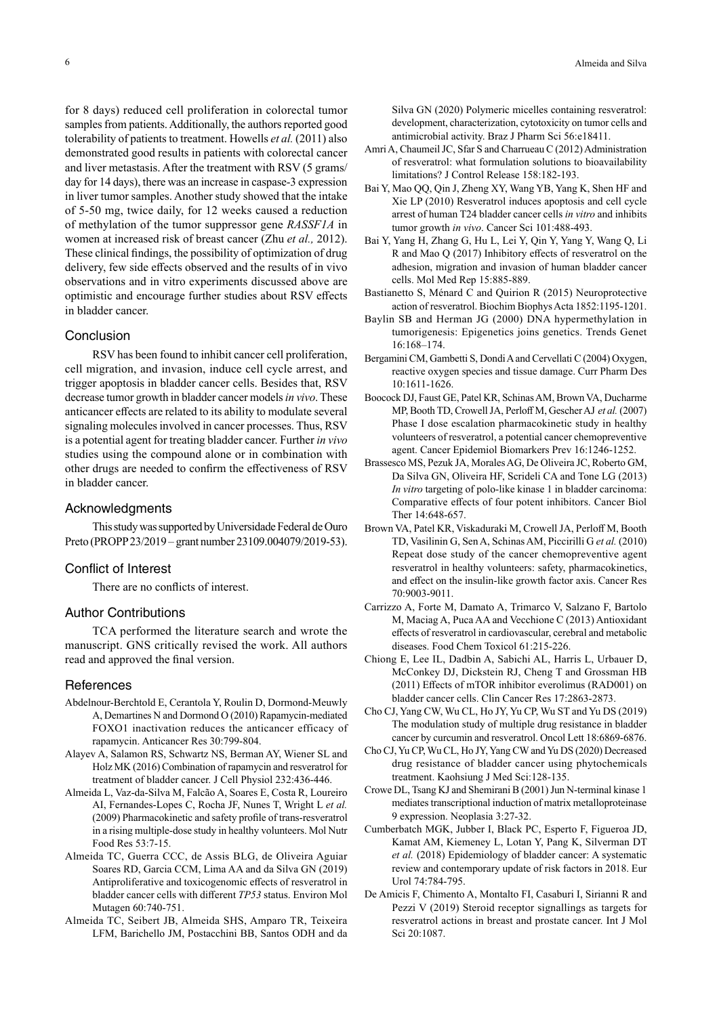for 8 days) reduced cell proliferation in colorectal tumor samples from patients. Additionally, the authors reported good tolerability of patients to treatment. Howells *et al.* (2011) also demonstrated good results in patients with colorectal cancer and liver metastasis. After the treatment with RSV (5 grams/ day for 14 days), there was an increase in caspase-3 expression in liver tumor samples. Another study showed that the intake of 5-50 mg, twice daily, for 12 weeks caused a reduction of methylation of the tumor suppressor gene *RASSF1A* in women at increased risk of breast cancer (Zhu *et al.,* 2012). These clinical findings, the possibility of optimization of drug delivery, few side effects observed and the results of in vivo observations and in vitro experiments discussed above are optimistic and encourage further studies about RSV effects in bladder cancer.

# Conclusion

RSV has been found to inhibit cancer cell proliferation, cell migration, and invasion, induce cell cycle arrest, and trigger apoptosis in bladder cancer cells. Besides that, RSV decrease tumor growth in bladder cancer models *in vivo*. These anticancer effects are related to its ability to modulate several signaling molecules involved in cancer processes. Thus, RSV is a potential agent for treating bladder cancer. Further *in vivo* studies using the compound alone or in combination with other drugs are needed to confirm the effectiveness of RSV in bladder cancer.

#### Acknowledgments

This study was supported by Universidade Federal de Ouro Preto (PROPP 23/2019 – grant number 23109.004079/2019-53).

#### Conflict of Interest

There are no conflicts of interest.

#### Author Contributions

TCA performed the literature search and wrote the manuscript. GNS critically revised the work. All authors read and approved the final version.

#### **References**

- Abdelnour-Berchtold E, Cerantola Y, Roulin D, Dormond-Meuwly A, Demartines N and Dormond O (2010) Rapamycin-mediated FOXO1 inactivation reduces the anticancer efficacy of rapamycin. Anticancer Res 30:799-804.
- Alayev A, Salamon RS, Schwartz NS, Berman AY, Wiener SL and Holz MK (2016) Combination of rapamycin and resveratrol for treatment of bladder cancer. J Cell Physiol 232:436-446.
- Almeida L, Vaz-da-Silva M, Falcão A, Soares E, Costa R, Loureiro AI, Fernandes-Lopes C, Rocha JF, Nunes T, Wright L *et al.* (2009) Pharmacokinetic and safety profile of trans-resveratrol in a rising multiple-dose study in healthy volunteers. Mol Nutr Food Res 53:7-15.
- Almeida TC, Guerra CCC, de Assis BLG, de Oliveira Aguiar Soares RD, Garcia CCM, Lima AA and da Silva GN (2019) Antiproliferative and toxicogenomic effects of resveratrol in bladder cancer cells with different *TP53* status. Environ Mol Mutagen 60:740-751.
- Almeida TC, Seibert JB, Almeida SHS, Amparo TR, Teixeira LFM, Barichello JM, Postacchini BB, Santos ODH and da

Silva GN (2020) Polymeric micelles containing resveratrol: development, characterization, cytotoxicity on tumor cells and antimicrobial activity. Braz J Pharm Sci 56:e18411.

- Amri A, Chaumeil JC, Sfar S and Charrueau C (2012) Administration of resveratrol: what formulation solutions to bioavailability limitations? J Control Release 158:182-193.
- Bai Y, Mao QQ, Qin J, Zheng XY, Wang YB, Yang K, Shen HF and Xie LP (2010) Resveratrol induces apoptosis and cell cycle arrest of human T24 bladder cancer cells *in vitro* and inhibits tumor growth *in vivo*. Cancer Sci 101:488-493.
- Bai Y, Yang H, Zhang G, Hu L, Lei Y, Qin Y, Yang Y, Wang Q, Li R and Mao Q (2017) Inhibitory effects of resveratrol on the adhesion, migration and invasion of human bladder cancer cells. Mol Med Rep 15:885-889.
- Bastianetto S, Ménard C and Quirion R (2015) Neuroprotective action of resveratrol. Biochim Biophys Acta 1852:1195-1201.
- Baylin SB and Herman JG (2000) DNA hypermethylation in tumorigenesis: Epigenetics joins genetics. Trends Genet 16:168–174.
- Bergamini CM, Gambetti S, Dondi A and Cervellati C (2004) Oxygen, reactive oxygen species and tissue damage. Curr Pharm Des 10:1611-1626.
- Boocock DJ, Faust GE, Patel KR, Schinas AM, Brown VA, Ducharme MP, Booth TD, Crowell JA, Perloff M, Gescher AJ et al. (2007) Phase I dose escalation pharmacokinetic study in healthy volunteers of resveratrol, a potential cancer chemopreventive agent. Cancer Epidemiol Biomarkers Prev 16:1246-1252.
- Brassesco MS, Pezuk JA, Morales AG, De Oliveira JC, Roberto GM, Da Silva GN, Oliveira HF, Scrideli CA and Tone LG (2013) *In vitro* targeting of polo-like kinase 1 in bladder carcinoma: Comparative effects of four potent inhibitors. Cancer Biol Ther 14:648-657.
- Brown VA, Patel KR, Viskaduraki M, Crowell JA, Perloff M, Booth TD, Vasilinin G, Sen A, Schinas AM, Piccirilli G *et al.* (2010) Repeat dose study of the cancer chemopreventive agent resveratrol in healthy volunteers: safety, pharmacokinetics, and effect on the insulin-like growth factor axis. Cancer Res 70:9003-9011.
- Carrizzo A, Forte M, Damato A, Trimarco V, Salzano F, Bartolo M, Maciag A, Puca AA and Vecchione C (2013) Antioxidant effects of resveratrol in cardiovascular, cerebral and metabolic diseases. Food Chem Toxicol 61:215-226.
- Chiong E, Lee IL, Dadbin A, Sabichi AL, Harris L, Urbauer D, McConkey DJ, Dickstein RJ, Cheng T and Grossman HB (2011) Effects of mTOR inhibitor everolimus (RAD001) on bladder cancer cells. Clin Cancer Res 17:2863-2873.
- Cho CJ, Yang CW, Wu CL, Ho JY, Yu CP, Wu ST and Yu DS (2019) The modulation study of multiple drug resistance in bladder cancer by curcumin and resveratrol. Oncol Lett 18:6869-6876.
- Cho CJ, Yu CP, Wu CL, Ho JY, Yang CW and Yu DS (2020) Decreased drug resistance of bladder cancer using phytochemicals treatment. Kaohsiung J Med Sci:128-135.
- Crowe DL, Tsang KJ and Shemirani B (2001) Jun N-terminal kinase 1 mediates transcriptional induction of matrix metalloproteinase 9 expression. Neoplasia 3:27-32.
- Cumberbatch MGK, Jubber I, Black PC, Esperto F, Figueroa JD, Kamat AM, Kiemeney L, Lotan Y, Pang K, Silverman DT *et al.* (2018) Epidemiology of bladder cancer: A systematic review and contemporary update of risk factors in 2018. Eur Urol 74:784-795.
- De Amicis F, Chimento A, Montalto FI, Casaburi I, Sirianni R and Pezzi V (2019) Steroid receptor signallings as targets for resveratrol actions in breast and prostate cancer. Int J Mol Sci 20:1087.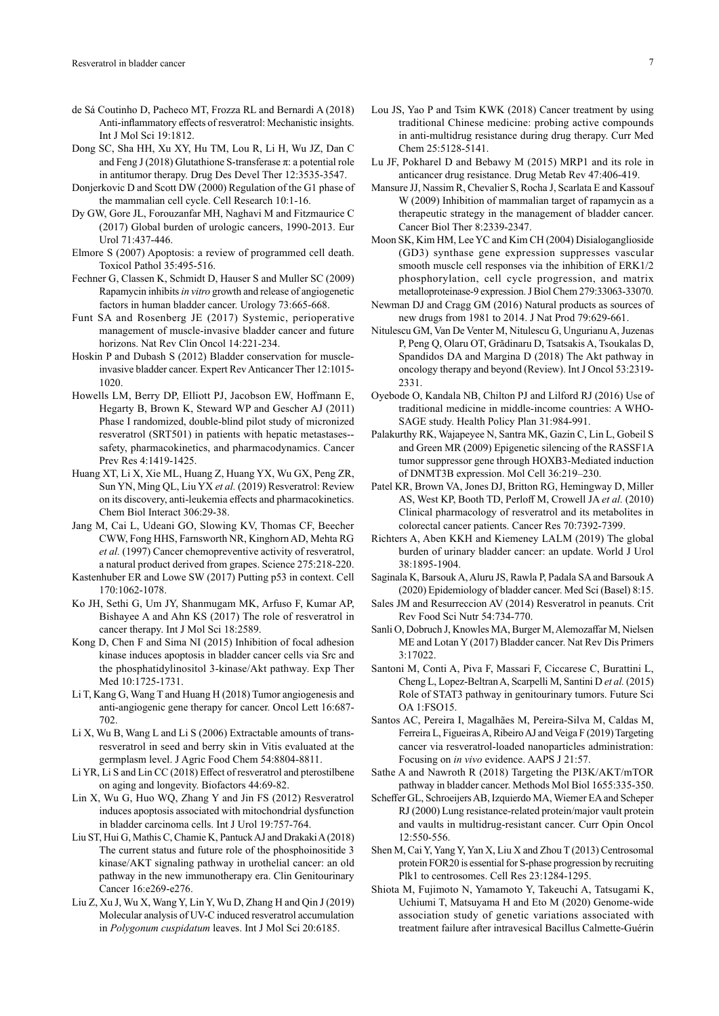- de Sá Coutinho D, Pacheco MT, Frozza RL and Bernardi A (2018) Anti-inflammatory effects of resveratrol: Mechanistic insights. Int J Mol Sci 19:1812.
- Dong SC, Sha HH, Xu XY, Hu TM, Lou R, Li H, Wu JZ, Dan C and Feng J (2018) Glutathione S-transferase  $\pi$ : a potential role in antitumor therapy. Drug Des Devel Ther 12:3535-3547.
- Donjerkovic D and Scott DW (2000) Regulation of the G1 phase of the mammalian cell cycle. Cell Research 10:1-16.
- Dy GW, Gore JL, Forouzanfar MH, Naghavi M and Fitzmaurice C (2017) Global burden of urologic cancers, 1990-2013. Eur Urol 71:437-446.
- Elmore S (2007) Apoptosis: a review of programmed cell death. Toxicol Pathol 35:495-516.
- Fechner G, Classen K, Schmidt D, Hauser S and Muller SC (2009) Rapamycin inhibits *in vitro* growth and release of angiogenetic factors in human bladder cancer. Urology 73:665-668.
- Funt SA and Rosenberg JE (2017) Systemic, perioperative management of muscle-invasive bladder cancer and future horizons. Nat Rev Clin Oncol 14:221-234.
- Hoskin P and Dubash S (2012) Bladder conservation for muscleinvasive bladder cancer. Expert Rev Anticancer Ther 12:1015- 1020.
- Howells LM, Berry DP, Elliott PJ, Jacobson EW, Hoffmann E, Hegarty B, Brown K, Steward WP and Gescher AJ (2011) Phase I randomized, double-blind pilot study of micronized resveratrol (SRT501) in patients with hepatic metastases- safety, pharmacokinetics, and pharmacodynamics. Cancer Prev Res 4:1419-1425.
- Huang XT, Li X, Xie ML, Huang Z, Huang YX, Wu GX, Peng ZR, Sun YN, Ming QL, Liu YX *et al.* (2019) Resveratrol: Review on its discovery, anti-leukemia effects and pharmacokinetics. Chem Biol Interact 306:29-38.
- Jang M, Cai L, Udeani GO, Slowing KV, Thomas CF, Beecher CWW, Fong HHS, Farnsworth NR, Kinghorn AD, Mehta RG *et al.* (1997) Cancer chemopreventive activity of resveratrol, a natural product derived from grapes. Science 275:218-220.
- Kastenhuber ER and Lowe SW (2017) Putting p53 in context. Cell 170:1062-1078.
- Ko JH, Sethi G, Um JY, Shanmugam MK, Arfuso F, Kumar AP, Bishayee A and Ahn KS (2017) The role of resveratrol in cancer therapy. Int J Mol Sci 18:2589.
- Kong D, Chen F and Sima NI (2015) Inhibition of focal adhesion kinase induces apoptosis in bladder cancer cells via Src and the phosphatidylinositol 3-kinase/Akt pathway. Exp Ther Med 10:1725-1731.
- Li T, Kang G, Wang T and Huang H (2018) Tumor angiogenesis and anti-angiogenic gene therapy for cancer. Oncol Lett 16:687- 702.
- Li X, Wu B, Wang L and Li S (2006) Extractable amounts of transresveratrol in seed and berry skin in Vitis evaluated at the germplasm level. J Agric Food Chem 54:8804-8811.
- Li YR, Li S and Lin CC (2018) Effect of resveratrol and pterostilbene on aging and longevity. Biofactors 44:69-82.
- Lin X, Wu G, Huo WQ, Zhang Y and Jin FS (2012) Resveratrol induces apoptosis associated with mitochondrial dysfunction in bladder carcinoma cells. Int J Urol 19:757-764.
- Liu ST, Hui G, Mathis C, Chamie K, Pantuck AJ and Drakaki A (2018) The current status and future role of the phosphoinositide 3 kinase/AKT signaling pathway in urothelial cancer: an old pathway in the new immunotherapy era. Clin Genitourinary Cancer 16:e269-e276.
- Liu Z, Xu J, Wu X, Wang Y, Lin Y, Wu D, Zhang H and Qin J (2019) Molecular analysis of UV-C induced resveratrol accumulation in *Polygonum cuspidatum* leaves. Int J Mol Sci 20:6185.
- Lou JS, Yao P and Tsim KWK (2018) Cancer treatment by using traditional Chinese medicine: probing active compounds in anti-multidrug resistance during drug therapy. Curr Med Chem 25:5128-5141.
- Lu JF, Pokharel D and Bebawy M (2015) MRP1 and its role in anticancer drug resistance. Drug Metab Rev 47:406-419.
- Mansure JJ, Nassim R, Chevalier S, Rocha J, Scarlata E and Kassouf W (2009) Inhibition of mammalian target of rapamycin as a therapeutic strategy in the management of bladder cancer. Cancer Biol Ther 8:2339-2347.
- Moon SK, Kim HM, Lee YC and Kim CH (2004) Disialoganglioside (GD3) synthase gene expression suppresses vascular smooth muscle cell responses via the inhibition of ERK1/2 phosphorylation, cell cycle progression, and matrix metalloproteinase-9 expression. J Biol Chem 279:33063-33070.
- Newman DJ and Cragg GM (2016) Natural products as sources of new drugs from 1981 to 2014. J Nat Prod 79:629-661.
- Nitulescu GM, Van De Venter M, Nitulescu G, Ungurianu A, Juzenas P, Peng Q, Olaru OT, Grădinaru D, Tsatsakis A, Tsoukalas D, Spandidos DA and Margina D (2018) The Akt pathway in oncology therapy and beyond (Review). Int J Oncol 53:2319- 2331.
- Oyebode O, Kandala NB, Chilton PJ and Lilford RJ (2016) Use of traditional medicine in middle-income countries: A WHO-SAGE study. Health Policy Plan 31:984-991.
- Palakurthy RK, Wajapeyee N, Santra MK, Gazin C, Lin L, Gobeil S and Green MR (2009) Epigenetic silencing of the RASSF1A tumor suppressor gene through HOXB3-Mediated induction of DNMT3B expression. Mol Cell 36:219–230.
- Patel KR, Brown VA, Jones DJ, Britton RG, Hemingway D, Miller AS, West KP, Booth TD, Perloff M, Crowell JA *et al.* (2010) Clinical pharmacology of resveratrol and its metabolites in colorectal cancer patients. Cancer Res 70:7392-7399.
- Richters A, Aben KKH and Kiemeney LALM (2019) The global burden of urinary bladder cancer: an update. World J Urol 38:1895-1904.
- Saginala K, Barsouk A, Aluru JS, Rawla P, Padala SA and Barsouk A (2020) Epidemiology of bladder cancer. Med Sci (Basel) 8:15.
- Sales JM and Resurreccion AV (2014) Resveratrol in peanuts. Crit Rev Food Sci Nutr 54:734-770.
- Sanli O, Dobruch J, Knowles MA, Burger M, Alemozaffar M, Nielsen ME and Lotan Y (2017) Bladder cancer. Nat Rev Dis Primers 3:17022.
- Santoni M, Conti A, Piva F, Massari F, Ciccarese C, Burattini L, Cheng L, Lopez-Beltran A, Scarpelli M, Santini D *et al.* (2015) Role of STAT3 pathway in genitourinary tumors. Future Sci OA 1:FSO15.
- Santos AC, Pereira I, Magalhães M, Pereira-Silva M, Caldas M, Ferreira L, Figueiras A, Ribeiro AJ and Veiga F (2019) Targeting cancer via resveratrol-loaded nanoparticles administration: Focusing on *in vivo* evidence. AAPS J 21:57.
- Sathe A and Nawroth R (2018) Targeting the PI3K/AKT/mTOR pathway in bladder cancer. Methods Mol Biol 1655:335-350.
- Scheffer GL, Schroeijers AB, Izquierdo MA, Wiemer EA and Scheper RJ (2000) Lung resistance-related protein/major vault protein and vaults in multidrug-resistant cancer. Curr Opin Oncol 12:550-556.
- Shen M, Cai Y, Yang Y, Yan X, Liu X and Zhou T (2013) Centrosomal protein FOR20 is essential for S-phase progression by recruiting Plk1 to centrosomes. Cell Res 23:1284-1295.
- Shiota M, Fujimoto N, Yamamoto Y, Takeuchi A, Tatsugami K, Uchiumi T, Matsuyama H and Eto M (2020) Genome-wide association study of genetic variations associated with treatment failure after intravesical Bacillus Calmette-Guérin